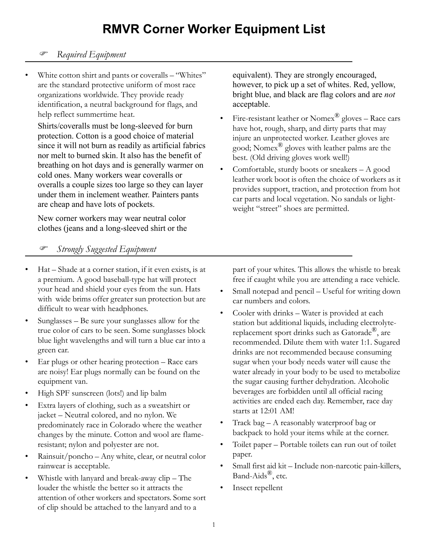## **RMVR Corner Worker Equipment List**

## ) *Required Equipment*

White cotton shirt and pants or coveralls – "Whites" are the standard protective uniform of most race organizations worldwide. They provide ready identification, a neutral background for flags, and help reflect summertime heat.

Shirts/coveralls must be long-sleeved for burn protection. Cotton is a good choice of material since it will not burn as readily as artificial fabrics nor melt to burned skin. It also has the benefit of breathing on hot days and is generally warmer on cold ones. Many workers wear coveralls or overalls a couple sizes too large so they can layer under them in inclement weather. Painters pants are cheap and have lots of pockets.

New corner workers may wear neutral color clothes (jeans and a long-sleeved shirt or the equivalent). They are strongly encouraged, however, to pick up a set of whites. Red, yellow, bright blue, and black are flag colors and are *not* acceptable.

- Fire-resistant leather or  $\text{Nomer}^{\circledR}$  gloves Race cars have hot, rough, sharp, and dirty parts that may injure an unprotected worker. Leather gloves are good; Nomex® gloves with leather palms are the best. (Old driving gloves work well!)
- Comfortable, sturdy boots or sneakers  $A$  good leather work boot is often the choice of workers as it provides support, traction, and protection from hot car parts and local vegetation. No sandals or lightweight "street" shoes are permitted.

## ) *Strongly Suggested Equipment*

- Hat Shade at a corner station, if it even exists, is at a premium. A good baseball-type hat will protect your head and shield your eyes from the sun. Hats with wide brims offer greater sun protection but are difficult to wear with headphones.
- Sunglasses Be sure your sunglasses allow for the true color of cars to be seen. Some sunglasses block blue light wavelengths and will turn a blue car into a green car.
- Ear plugs or other hearing protection Race cars are noisy! Ear plugs normally can be found on the equipment van.
- High SPF sunscreen (lots!) and lip balm
- Extra layers of clothing, such as a sweatshirt or jacket – Neutral colored, and no nylon. We predominately race in Colorado where the weather changes by the minute. Cotton and wool are flameresistant; nylon and polyester are not.
- Rainsuit/poncho Any white, clear, or neutral color rainwear is acceptable.
- Whistle with lanyard and break-away clip The louder the whistle the better so it attracts the attention of other workers and spectators. Some sort of clip should be attached to the lanyard and to a

part of your whites. This allows the whistle to break free if caught while you are attending a race vehicle.

- Small notepad and pencil Useful for writing down car numbers and colors.
- Cooler with drinks Water is provided at each station but additional liquids, including electrolytereplacement sport drinks such as Gatorade®, are recommended. Dilute them with water 1:1. Sugared drinks are not recommended because consuming sugar when your body needs water will cause the water already in your body to be used to metabolize the sugar causing further dehydration. Alcoholic beverages are forbidden until all official racing activities are ended each day. Remember, race day starts at 12:01 AM!
- Track bag A reasonably waterproof bag or backpack to hold your items while at the corner.
- Toilet paper Portable toilets can run out of toilet paper.
- Small first aid kit Include non-narcotic pain-killers, Band-Aids®, etc.
- Insect repellent